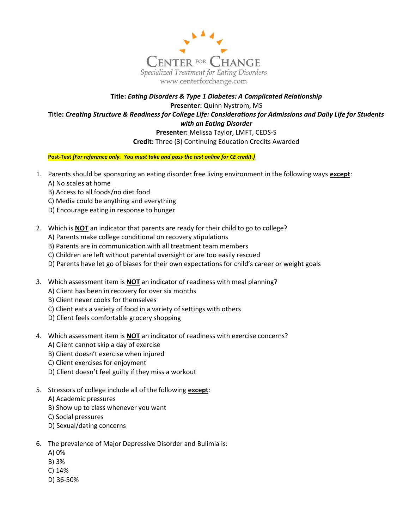

## Title: Eating Disorders & Type 1 Diabetes: A Complicated Relationship Presenter: Quinn Nystrom, MS Title: Creating Structure & Readiness for College Life: Considerations for Admissions and Daily Life for Students with an Eating Disorder Presenter: Melissa Taylor, LMFT, CEDS-S

Credit: Three (3) Continuing Education Credits Awarded

Post-Test (For reference only. You must take and pass the test online for CE credit.)

- 1. Parents should be sponsoring an eating disorder free living environment in the following ways except:
	- A) No scales at home
	- B) Access to all foods/no diet food
	- C) Media could be anything and everything
	- D) Encourage eating in response to hunger
- 2. Which is NOT an indicator that parents are ready for their child to go to college?
	- A) Parents make college conditional on recovery stipulations
	- B) Parents are in communication with all treatment team members
	- C) Children are left without parental oversight or are too easily rescued
	- D) Parents have let go of biases for their own expectations for child's career or weight goals
- 3. Which assessment item is NOT an indicator of readiness with meal planning?
	- A) Client has been in recovery for over six months
	- B) Client never cooks for themselves
	- C) Client eats a variety of food in a variety of settings with others
	- D) Client feels comfortable grocery shopping
- 4. Which assessment item is **NOT** an indicator of readiness with exercise concerns?
	- A) Client cannot skip a day of exercise
	- B) Client doesn't exercise when injured
	- C) Client exercises for enjoyment
	- D) Client doesn't feel guilty if they miss a workout
- 5. Stressors of college include all of the following except:
	- A) Academic pressures
	- B) Show up to class whenever you want
	- C) Social pressures
	- D) Sexual/dating concerns
- 6. The prevalence of Major Depressive Disorder and Bulimia is:
	- A) 0%
	- B) 3%
	- C) 14%
	- D) 36-50%